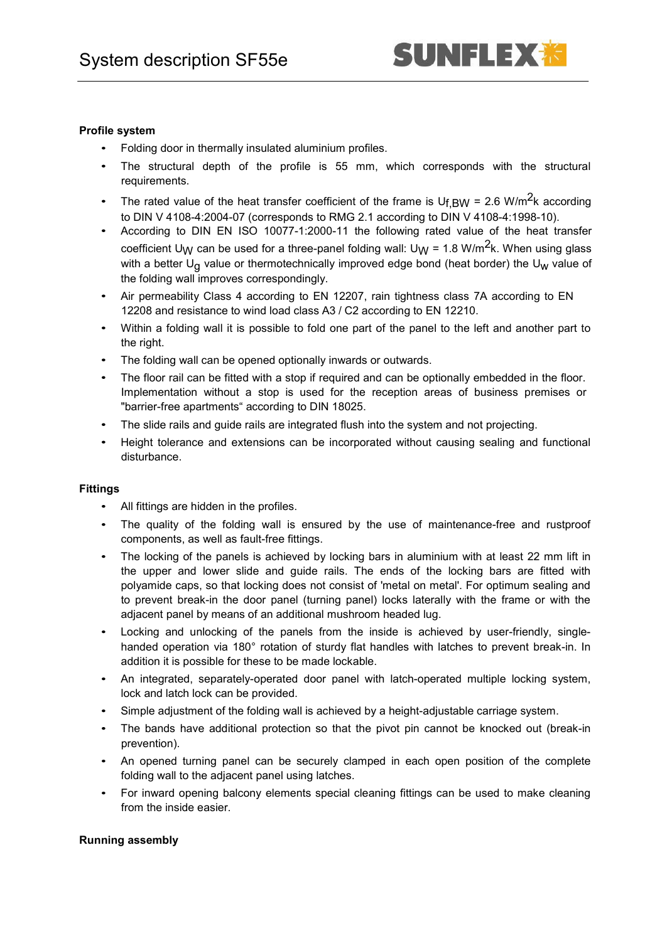# **Profile system**

- Folding door in thermally insulated aluminium profiles.
- The structural depth of the profile is 55 mm, which corresponds with the structural requirements.
- The rated value of the heat transfer coefficient of the frame is  $U_{f,BW} = 2.6 W/m^2k$  according to DIN V 4108-4:2004-07 (corresponds to RMG 2.1 according to DIN V 4108-4:1998-10).
- According to DIN EN ISO 10077-1:2000-11 the following rated value of the heat transfer coefficient U<sub>W</sub> can be used for a three-panel folding wall: U<sub>W</sub> = 1.8 W/m<sup>2</sup>k. When using glass with a better  $U_{\alpha}$  value or thermotechnically improved edge bond (heat border) the  $U_{W}$  value of the folding wall improves correspondingly.
- Air permeability Class 4 according to EN 12207, rain tightness class 7A according to EN 12208 and resistance to wind load class A3 / C2 according to EN 12210.
- Within a folding wall it is possible to fold one part of the panel to the left and another part to the right.
- The folding wall can be opened optionally inwards or outwards.
- The floor rail can be fitted with a stop if required and can be optionally embedded in the floor. Implementation without a stop is used for the reception areas of business premises or "barrier-free apartments" according to DIN 18025.
- The slide rails and guide rails are integrated flush into the system and not projecting.
- Height tolerance and extensions can be incorporated without causing sealing and functional disturbance.

## **Fittings**

- All fittings are hidden in the profiles.
- The quality of the folding wall is ensured by the use of maintenance-free and rustproof components, as well as fault-free fittings.
- The locking of the panels is achieved by locking bars in aluminium with at least 22 mm lift in the upper and lower slide and guide rails. The ends of the locking bars are fitted with polyamide caps, so that locking does not consist of 'metal on metal'. For optimum sealing and to prevent break-in the door panel (turning panel) locks laterally with the frame or with the adjacent panel by means of an additional mushroom headed lug.
- Locking and unlocking of the panels from the inside is achieved by user-friendly, singlehanded operation via 180° rotation of sturdy flat handles with latches to prevent break-in. In addition it is possible for these to be made lockable.
- An integrated, separately-operated door panel with latch-operated multiple locking system, lock and latch lock can be provided.
- Simple adjustment of the folding wall is achieved by a height-adjustable carriage system.
- The bands have additional protection so that the pivot pin cannot be knocked out (break-in prevention).
- An opened turning panel can be securely clamped in each open position of the complete folding wall to the adjacent panel using latches.
- For inward opening balcony elements special cleaning fittings can be used to make cleaning from the inside easier.

## **Running assembly**